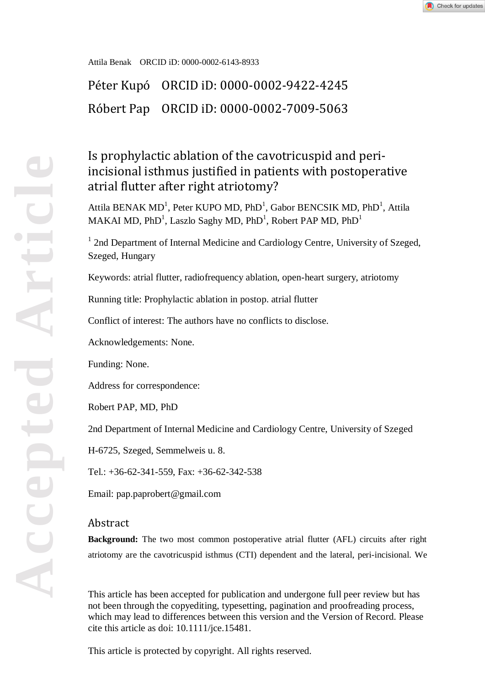Attila Benak ORCID iD: 0000-0002-6143-8933

Péter Kupó ORCID iD: 0000-0002-9422-4245 Róbert Pap ORCID iD: 0000-0002-7009-5063

# Is prophylactic ablation of the cavotricuspid and periincisional isthmus justified in patients with postoperative atrial flutter after right atriotomy?

Attila BENAK MD<sup>1</sup>, Peter KUPO MD, PhD<sup>1</sup>, Gabor BENCSIK MD, PhD<sup>1</sup>, Attila MAKAI MD, PhD<sup>1</sup>, Laszlo Saghy MD, PhD<sup>1</sup>, Robert PAP MD, PhD<sup>1</sup>

<sup>1</sup> 2nd Department of Internal Medicine and Cardiology Centre, University of Szeged, Szeged, Hungary

Keywords: atrial flutter, radiofrequency ablation, open-heart surgery, atriotomy

Running title: Prophylactic ablation in postop. atrial flutter

Conflict of interest: The authors have no conflicts to disclose.

Acknowledgements: None.

Funding: None.

Address for correspondence:

Robert PAP, MD, PhD

2nd Department of Internal Medicine and Cardiology Centre, University of Szeged

H-6725, Szeged, Semmelweis u. 8.

Tel.: +36-62-341-559, Fax: +36-62-342-538

Email: pap.paprobert@gmail.com

## Abstract

**Background:** The two most common postoperative atrial flutter (AFL) circuits after right atriotomy are the cavotricuspid isthmus (CTI) dependent and the lateral, peri-incisional. We

This article has been accepted for publication and undergone full peer review but has not been through the copyediting, typesetting, pagination and proofreading process, which may lead to differences between this version and the Version of Record. Please cite this article as doi: 10.1111/jce.15481.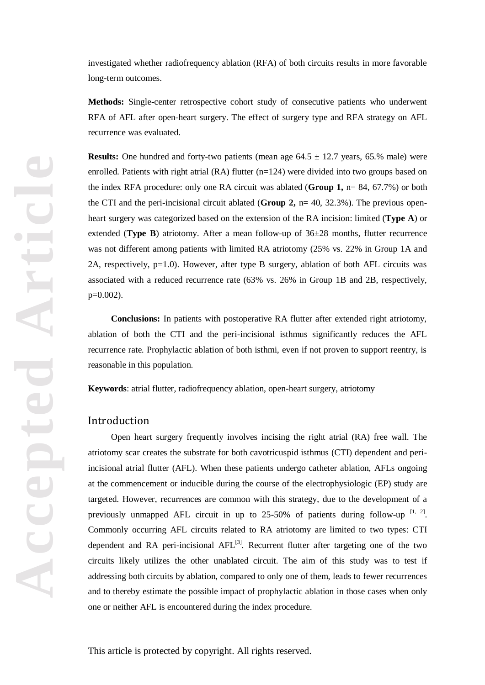investigated whether radiofrequency ablation (RFA) of both circuits results in more favorable long-term outcomes.

**Methods:** Single-center retrospective cohort study of consecutive patients who underwent RFA of AFL after open-heart surgery. The effect of surgery type and RFA strategy on AFL recurrence was evaluated.

**Results:** One hundred and forty-two patients (mean age  $64.5 \pm 12.7$  years,  $65.$ % male) were enrolled. Patients with right atrial (RA) flutter (n=124) were divided into two groups based on the index RFA procedure: only one RA circuit was ablated (**Group 1,** n= 84, 67.7%) or both the CTI and the peri-incisional circuit ablated (**Group 2,** n= 40, 32.3%). The previous openheart surgery was categorized based on the extension of the RA incision: limited (**Type A**) or extended (**Type B**) atriotomy. After a mean follow-up of 36±28 months, flutter recurrence was not different among patients with limited RA atriotomy (25% vs. 22% in Group 1A and 2A, respectively, p=1.0). However, after type B surgery, ablation of both AFL circuits was associated with a reduced recurrence rate (63% vs. 26% in Group 1B and 2B, respectively, p=0.002).

**Conclusions:** In patients with postoperative RA flutter after extended right atriotomy, ablation of both the CTI and the peri-incisional isthmus significantly reduces the AFL recurrence rate. Prophylactic ablation of both isthmi, even if not proven to support reentry, is reasonable in this population.

**Keywords**: atrial flutter, radiofrequency ablation, open-heart surgery, atriotomy

#### Introduction

Open heart surgery frequently involves incising the right atrial (RA) free wall. The atriotomy scar creates the substrate for both cavotricuspid isthmus (CTI) dependent and periincisional atrial flutter (AFL). When these patients undergo catheter ablation, AFLs ongoing at the commencement or inducible during the course of the electrophysiologic (EP) study are targeted. However, recurrences are common with this strategy, due to the development of a previously unmapped AFL circuit in up to 25-50% of patients during follow-up  $[1, 2]$ . Commonly occurring AFL circuits related to RA atriotomy are limited to two types: CTI dependent and RA peri-incisional  $AFL^{[3]}$ . Recurrent flutter after targeting one of the two circuits likely utilizes the other unablated circuit. The aim of this study was to test if addressing both circuits by ablation, compared to only one of them, leads to fewer recurrences and to thereby estimate the possible impact of prophylactic ablation in those cases when only one or neither AFL is encountered during the index procedure.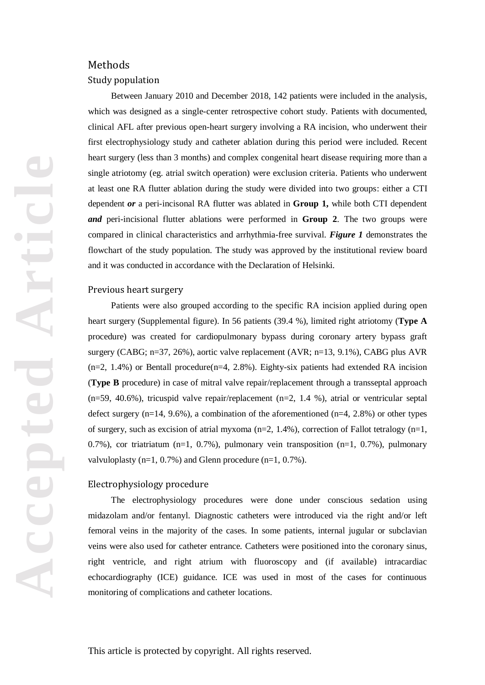## Methods

## Study population

Between January 2010 and December 2018, 142 patients were included in the analysis, which was designed as a single-center retrospective cohort study. Patients with documented, clinical AFL after previous open-heart surgery involving a RA incision, who underwent their first electrophysiology study and catheter ablation during this period were included. Recent heart surgery (less than 3 months) and complex congenital heart disease requiring more than a single atriotomy (eg. atrial switch operation) were exclusion criteria. Patients who underwent at least one RA flutter ablation during the study were divided into two groups: either a CTI dependent *or* a peri-incisonal RA flutter was ablated in **Group 1,** while both CTI dependent *and* peri-incisional flutter ablations were performed in **Group 2**. The two groups were compared in clinical characteristics and arrhythmia-free survival. *Figure 1* demonstrates the flowchart of the study population. The study was approved by the institutional review board and it was conducted in accordance with the Declaration of Helsinki.

## Previous heart surgery

Patients were also grouped according to the specific RA incision applied during open heart surgery (Supplemental figure). In 56 patients (39.4 %), limited right atriotomy (**Type A** procedure) was created for cardiopulmonary bypass during coronary artery bypass graft surgery (CABG; n=37, 26%), aortic valve replacement (AVR; n=13, 9.1%), CABG plus AVR  $(n=2, 1.4\%)$  or Bentall procedure( $n=4, 2.8\%$ ). Eighty-six patients had extended RA incision (**Type B** procedure) in case of mitral valve repair/replacement through a transseptal approach  $(n=59, 40.6\%)$ , tricuspid valve repair/replacement  $(n=2, 1.4 \%)$ , atrial or ventricular septal defect surgery  $(n=14, 9.6\%)$ , a combination of the aforementioned  $(n=4, 2.8\%)$  or other types of surgery, such as excision of atrial myxoma  $(n=2, 1.4\%)$ , correction of Fallot tetralogy  $(n=1, 1.4\%)$ 0.7%), cor triatriatum (n=1, 0.7%), pulmonary vein transposition (n=1, 0.7%), pulmonary valvuloplasty  $(n=1, 0.7\%)$  and Glenn procedure  $(n=1, 0.7\%)$ .

## Electrophysiology procedure

The electrophysiology procedures were done under conscious sedation using midazolam and/or fentanyl. Diagnostic catheters were introduced via the right and/or left femoral veins in the majority of the cases. In some patients, internal jugular or subclavian veins were also used for catheter entrance. Catheters were positioned into the coronary sinus, right ventricle, and right atrium with fluoroscopy and (if available) intracardiac echocardiography (ICE) guidance. ICE was used in most of the cases for continuous monitoring of complications and catheter locations.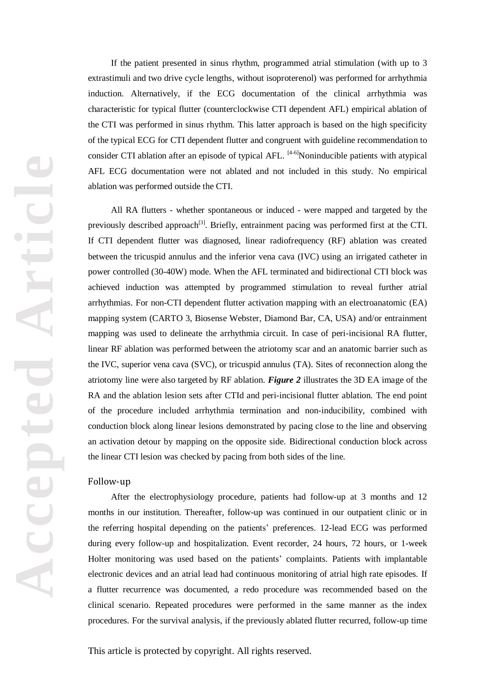If the patient presented in sinus rhythm, programmed atrial stimulation (with up to 3 extrastimuli and two drive cycle lengths, without isoproterenol) was performed for arrhythmia induction. Alternatively, if the ECG documentation of the clinical arrhythmia was characteristic for typical flutter (counterclockwise CTI dependent AFL) empirical ablation of the CTI was performed in sinus rhythm. This latter approach is based on the high specificity of the typical ECG for CTI dependent flutter and congruent with guideline recommendation to consider CTI ablation after an episode of typical AFL. <sup>[4-6]</sup>Noninducible patients with atypical AFL ECG documentation were not ablated and not included in this study. No empirical ablation was performed outside the CTI.

All RA flutters - whether spontaneous or induced - were mapped and targeted by the previously described approach<sup>[3]</sup>. Briefly, entrainment pacing was performed first at the CTI. If CTI dependent flutter was diagnosed, linear radiofrequency (RF) ablation was created between the tricuspid annulus and the inferior vena cava (IVC) using an irrigated catheter in power controlled (30-40W) mode. When the AFL terminated and bidirectional CTI block was achieved induction was attempted by programmed stimulation to reveal further atrial arrhythmias. For non-CTI dependent flutter activation mapping with an electroanatomic (EA) mapping system (CARTO 3, Biosense Webster, Diamond Bar, CA, USA) and/or entrainment mapping was used to delineate the arrhythmia circuit. In case of peri-incisional RA flutter, linear RF ablation was performed between the atriotomy scar and an anatomic barrier such as the IVC, superior vena cava (SVC), or tricuspid annulus (TA). Sites of reconnection along the atriotomy line were also targeted by RF ablation. *Figure 2* illustrates the 3D EA image of the RA and the ablation lesion sets after CTId and peri-incisional flutter ablation. The end point of the procedure included arrhythmia termination and non-inducibility, combined with conduction block along linear lesions demonstrated by pacing close to the line and observing an activation detour by mapping on the opposite side. Bidirectional conduction block across the linear CTI lesion was checked by pacing from both sides of the line.

#### Follow-up

After the electrophysiology procedure, patients had follow-up at 3 months and 12 months in our institution. Thereafter, follow-up was continued in our outpatient clinic or in the referring hospital depending on the patients' preferences. 12-lead ECG was performed during every follow-up and hospitalization. Event recorder, 24 hours, 72 hours, or 1-week Holter monitoring was used based on the patients' complaints. Patients with implantable electronic devices and an atrial lead had continuous monitoring of atrial high rate episodes. If a flutter recurrence was documented, a redo procedure was recommended based on the clinical scenario. Repeated procedures were performed in the same manner as the index procedures. For the survival analysis, if the previously ablated flutter recurred, follow-up time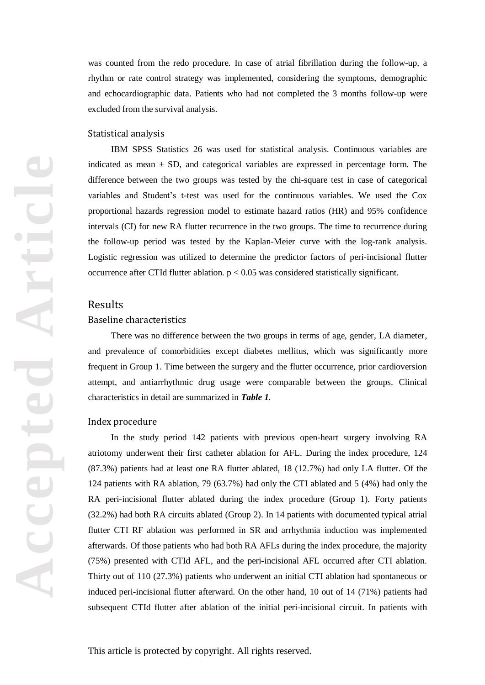was counted from the redo procedure. In case of atrial fibrillation during the follow-up, a rhythm or rate control strategy was implemented, considering the symptoms, demographic and echocardiographic data. Patients who had not completed the 3 months follow-up were excluded from the survival analysis.

#### Statistical analysis

IBM SPSS Statistics 26 was used for statistical analysis. Continuous variables are indicated as mean  $\pm$  SD, and categorical variables are expressed in percentage form. The difference between the two groups was tested by the chi-square test in case of categorical variables and Student's t-test was used for the continuous variables. We used the Cox proportional hazards regression model to estimate hazard ratios (HR) and 95% confidence intervals (CI) for new RA flutter recurrence in the two groups. The time to recurrence during the follow-up period was tested by the Kaplan-Meier curve with the log-rank analysis. Logistic regression was utilized to determine the predictor factors of peri-incisional flutter occurrence after CTId flutter ablation.  $p < 0.05$  was considered statistically significant.

## Results

#### Baseline characteristics

There was no difference between the two groups in terms of age, gender, LA diameter, and prevalence of comorbidities except diabetes mellitus, which was significantly more frequent in Group 1. Time between the surgery and the flutter occurrence, prior cardioversion attempt, and antiarrhythmic drug usage were comparable between the groups. Clinical characteristics in detail are summarized in *Table 1.*

#### Index procedure

In the study period 142 patients with previous open-heart surgery involving RA atriotomy underwent their first catheter ablation for AFL. During the index procedure, 124 (87.3%) patients had at least one RA flutter ablated, 18 (12.7%) had only LA flutter. Of the 124 patients with RA ablation, 79 (63.7%) had only the CTI ablated and 5 (4%) had only the RA peri-incisional flutter ablated during the index procedure (Group 1). Forty patients (32.2%) had both RA circuits ablated (Group 2). In 14 patients with documented typical atrial flutter CTI RF ablation was performed in SR and arrhythmia induction was implemented afterwards. Of those patients who had both RA AFLs during the index procedure, the majority (75%) presented with CTId AFL, and the peri-incisional AFL occurred after CTI ablation. Thirty out of 110 (27.3%) patients who underwent an initial CTI ablation had spontaneous or induced peri-incisional flutter afterward. On the other hand, 10 out of 14 (71%) patients had subsequent CTId flutter after ablation of the initial peri-incisional circuit. In patients with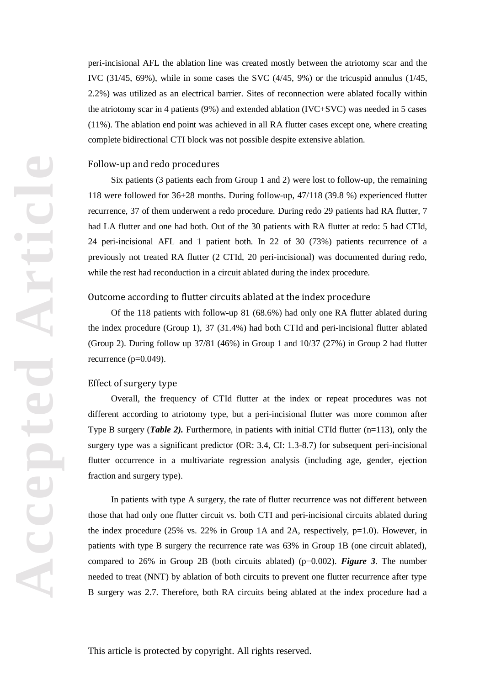peri-incisional AFL the ablation line was created mostly between the atriotomy scar and the IVC (31/45, 69%), while in some cases the SVC (4/45, 9%) or the tricuspid annulus (1/45, 2.2%) was utilized as an electrical barrier. Sites of reconnection were ablated focally within the atriotomy scar in 4 patients (9%) and extended ablation (IVC+SVC) was needed in 5 cases (11%). The ablation end point was achieved in all RA flutter cases except one, where creating complete bidirectional CTI block was not possible despite extensive ablation.

#### Follow-up and redo procedures

Six patients (3 patients each from Group 1 and 2) were lost to follow-up, the remaining 118 were followed for 36±28 months. During follow-up, 47/118 (39.8 %) experienced flutter recurrence, 37 of them underwent a redo procedure. During redo 29 patients had RA flutter, 7 had LA flutter and one had both. Out of the 30 patients with RA flutter at redo: 5 had CTId, 24 peri-incisional AFL and 1 patient both. In 22 of 30 (73%) patients recurrence of a previously not treated RA flutter (2 CTId, 20 peri-incisional) was documented during redo, while the rest had reconduction in a circuit ablated during the index procedure.

#### Outcome according to flutter circuits ablated at the index procedure

Of the 118 patients with follow-up 81 (68.6%) had only one RA flutter ablated during the index procedure (Group 1), 37 (31.4%) had both CTId and peri-incisional flutter ablated (Group 2). During follow up 37/81 (46%) in Group 1 and 10/37 (27%) in Group 2 had flutter recurrence (p=0.049).

#### Effect of surgery type

Overall, the frequency of CTId flutter at the index or repeat procedures was not different according to atriotomy type, but a peri-incisional flutter was more common after Type B surgery (*Table 2*). Furthermore, in patients with initial CTId flutter (n=113), only the surgery type was a significant predictor (OR: 3.4, CI: 1.3-8.7) for subsequent peri-incisional flutter occurrence in a multivariate regression analysis (including age, gender, ejection fraction and surgery type).

In patients with type A surgery, the rate of flutter recurrence was not different between those that had only one flutter circuit vs. both CTI and peri-incisional circuits ablated during the index procedure (25% vs. 22% in Group 1A and 2A, respectively, p=1.0). However, in patients with type B surgery the recurrence rate was 63% in Group 1B (one circuit ablated), compared to 26% in Group 2B (both circuits ablated) (p=0.002). *Figure 3*. The number needed to treat (NNT) by ablation of both circuits to prevent one flutter recurrence after type B surgery was 2.7. Therefore, both RA circuits being ablated at the index procedure had a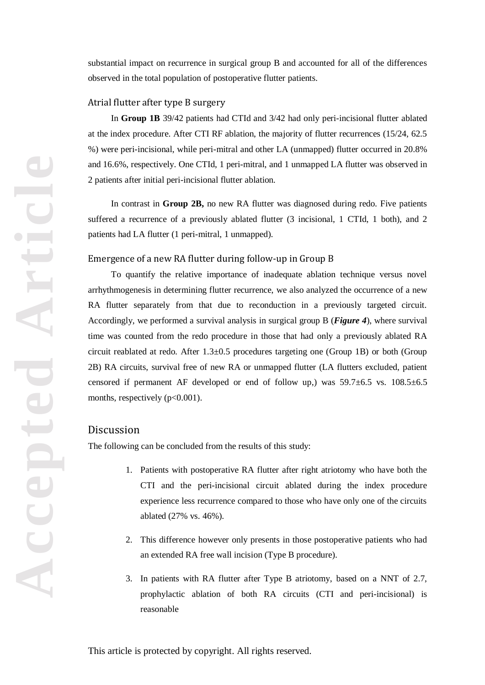substantial impact on recurrence in surgical group B and accounted for all of the differences observed in the total population of postoperative flutter patients.

#### Atrial flutter after type B surgery

In **Group 1B** 39/42 patients had CTId and 3/42 had only peri-incisional flutter ablated at the index procedure. After CTI RF ablation, the majority of flutter recurrences (15/24, 62.5 %) were peri-incisional, while peri-mitral and other LA (unmapped) flutter occurred in 20.8% and 16.6%, respectively. One CTId, 1 peri-mitral, and 1 unmapped LA flutter was observed in 2 patients after initial peri-incisional flutter ablation.

In contrast in **Group 2B,** no new RA flutter was diagnosed during redo. Five patients suffered a recurrence of a previously ablated flutter (3 incisional, 1 CTId, 1 both), and 2 patients had LA flutter (1 peri-mitral, 1 unmapped).

#### Emergence of a new RA flutter during follow-up in Group B

To quantify the relative importance of inadequate ablation technique versus novel arrhythmogenesis in determining flutter recurrence, we also analyzed the occurrence of a new RA flutter separately from that due to reconduction in a previously targeted circuit. Accordingly, we performed a survival analysis in surgical group B (*Figure 4*), where survival time was counted from the redo procedure in those that had only a previously ablated RA circuit reablated at redo. After 1.3±0.5 procedures targeting one (Group 1B) or both (Group 2B) RA circuits, survival free of new RA or unmapped flutter (LA flutters excluded, patient censored if permanent AF developed or end of follow up,) was 59.7±6.5 vs. 108.5±6.5 months, respectively  $(p<0.001)$ .

## Discussion

The following can be concluded from the results of this study:

- 1. Patients with postoperative RA flutter after right atriotomy who have both the CTI and the peri-incisional circuit ablated during the index procedure experience less recurrence compared to those who have only one of the circuits ablated (27% vs. 46%).
- 2. This difference however only presents in those postoperative patients who had an extended RA free wall incision (Type B procedure).
- 3. In patients with RA flutter after Type B atriotomy, based on a NNT of 2.7, prophylactic ablation of both RA circuits (CTI and peri-incisional) is reasonable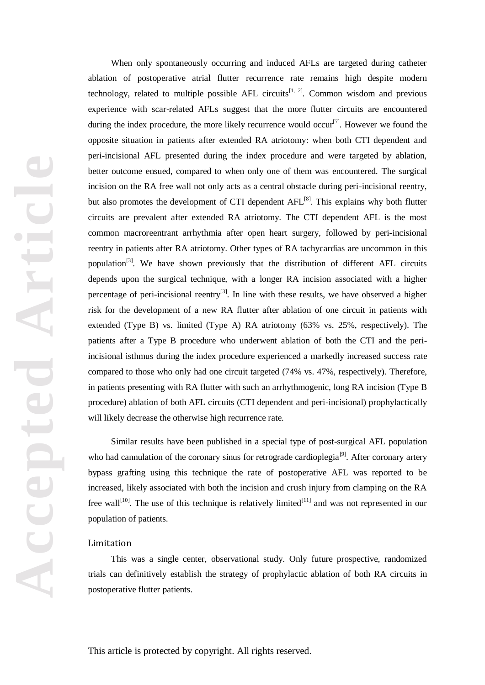When only spontaneously occurring and induced AFLs are targeted during catheter ablation of postoperative atrial flutter recurrence rate remains high despite modern technology, related to multiple possible AFL circuits<sup>[1, 2]</sup>. Common wisdom and previous experience with scar-related AFLs suggest that the more flutter circuits are encountered during the index procedure, the more likely recurrence would occur<sup>[7]</sup>. However we found the opposite situation in patients after extended RA atriotomy: when both CTI dependent and peri-incisional AFL presented during the index procedure and were targeted by ablation, better outcome ensued, compared to when only one of them was encountered. The surgical incision on the RA free wall not only acts as a central obstacle during peri-incisional reentry, but also promotes the development of CTI dependent  $AFL^{[8]}$ . This explains why both flutter circuits are prevalent after extended RA atriotomy. The CTI dependent AFL is the most common macroreentrant arrhythmia after open heart surgery, followed by peri-incisional reentry in patients after RA atriotomy. Other types of RA tachycardias are uncommon in this population<sup>[3]</sup>. We have shown previously that the distribution of different AFL circuits depends upon the surgical technique, with a longer RA incision associated with a higher percentage of peri-incisional reentry<sup>[3]</sup>. In line with these results, we have observed a higher risk for the development of a new RA flutter after ablation of one circuit in patients with extended (Type B) vs. limited (Type A) RA atriotomy (63% vs. 25%, respectively). The patients after a Type B procedure who underwent ablation of both the CTI and the periincisional isthmus during the index procedure experienced a markedly increased success rate compared to those who only had one circuit targeted (74% vs. 47%, respectively). Therefore, in patients presenting with RA flutter with such an arrhythmogenic, long RA incision (Type B procedure) ablation of both AFL circuits (CTI dependent and peri-incisional) prophylactically will likely decrease the otherwise high recurrence rate.

Similar results have been published in a special type of post-surgical AFL population who had cannulation of the coronary sinus for retrograde cardioplegia<sup>[9]</sup>. After coronary artery bypass grafting using this technique the rate of postoperative AFL was reported to be increased, likely associated with both the incision and crush injury from clamping on the RA free wall<sup>[10]</sup>. The use of this technique is relatively limited<sup>[11]</sup> and was not represented in our population of patients.

#### Limitation

This was a single center, observational study. Only future prospective, randomized trials can definitively establish the strategy of prophylactic ablation of both RA circuits in postoperative flutter patients.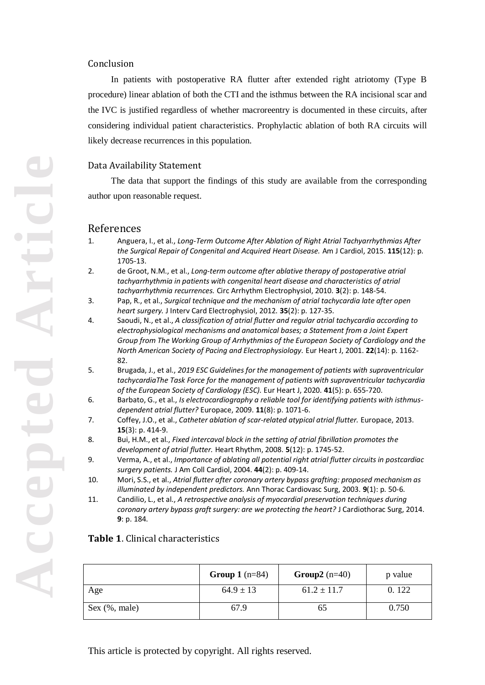## Conclusion

In patients with postoperative RA flutter after extended right atriotomy (Type B procedure) linear ablation of both the CTI and the isthmus between the RA incisional scar and the IVC is justified regardless of whether macroreentry is documented in these circuits, after considering individual patient characteristics. Prophylactic ablation of both RA circuits will likely decrease recurrences in this population.

## Data Availability Statement

The data that support the findings of this study are available from the corresponding author upon reasonable request.

## References

- 1. Anguera, I., et al., *Long-Term Outcome After Ablation of Right Atrial Tachyarrhythmias After the Surgical Repair of Congenital and Acquired Heart Disease.* Am J Cardiol, 2015. **115**(12): p. 1705-13.
- 2. de Groot, N.M., et al., *Long-term outcome after ablative therapy of postoperative atrial tachyarrhythmia in patients with congenital heart disease and characteristics of atrial tachyarrhythmia recurrences.* Circ Arrhythm Electrophysiol, 2010. **3**(2): p. 148-54.
- 3. Pap, R., et al., *Surgical technique and the mechanism of atrial tachycardia late after open heart surgery.* J Interv Card Electrophysiol, 2012. **35**(2): p. 127-35.
- 4. Saoudi, N., et al., *A classification of atrial flutter and regular atrial tachycardia according to electrophysiological mechanisms and anatomical bases; a Statement from a Joint Expert Group from The Working Group of Arrhythmias of the European Society of Cardiology and the North American Society of Pacing and Electrophysiology.* Eur Heart J, 2001. **22**(14): p. 1162- 82.
- 5. Brugada, J., et al., *2019 ESC Guidelines for the management of patients with supraventricular tachycardiaThe Task Force for the management of patients with supraventricular tachycardia of the European Society of Cardiology (ESC).* Eur Heart J, 2020. **41**(5): p. 655-720.
- 6. Barbato, G., et al., *Is electrocardiography a reliable tool for identifying patients with isthmusdependent atrial flutter?* Europace, 2009. **11**(8): p. 1071-6.
- 7. Coffey, J.O., et al., *Catheter ablation of scar-related atypical atrial flutter.* Europace, 2013. **15**(3): p. 414-9.
- 8. Bui, H.M., et al., *Fixed intercaval block in the setting of atrial fibrillation promotes the development of atrial flutter.* Heart Rhythm, 2008. **5**(12): p. 1745-52.
- 9. Verma, A., et al., *Importance of ablating all potential right atrial flutter circuits in postcardiac surgery patients.* J Am Coll Cardiol, 2004. **44**(2): p. 409-14.
- 10. Mori, S.S., et al., *Atrial flutter after coronary artery bypass grafting: proposed mechanism as illuminated by independent predictors.* Ann Thorac Cardiovasc Surg, 2003. **9**(1): p. 50-6.
- 11. Candilio, L., et al., *A retrospective analysis of myocardial preservation techniques during coronary artery bypass graft surgery: are we protecting the heart?* J Cardiothorac Surg, 2014. **9**: p. 184.

## **Table 1**. Clinical characteristics

|               | <b>Group 1</b> $(n=84)$ | Group2 $(n=40)$ | p value |
|---------------|-------------------------|-----------------|---------|
| Age           | $64.9 \pm 13$           | $61.2 \pm 11.7$ | 0.122   |
| Sex (%, male) | 67.9                    | CO              | 0.750   |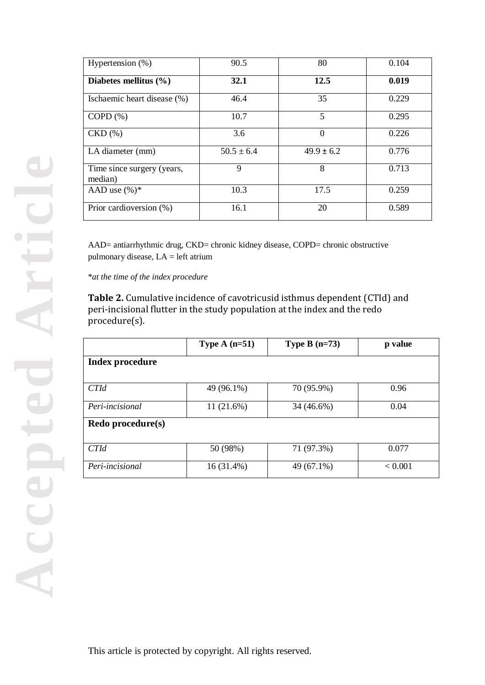| Hypertension $(\%)$                   | 90.5           | 80             | 0.104 |
|---------------------------------------|----------------|----------------|-------|
| Diabetes mellitus $(\% )$             | 32.1           | 12.5           | 0.019 |
| Ischaemic heart disease (%)           | 46.4           | 35             | 0.229 |
| $COPD(\% )$                           | 10.7           | 5              | 0.295 |
| $CKD$ $(\% )$                         | 3.6            | 0              | 0.226 |
| LA diameter (mm)                      | $50.5 \pm 6.4$ | $49.9 \pm 6.2$ | 0.776 |
| Time since surgery (years,<br>median) | 9              | 8              | 0.713 |
| AAD use $(\%)^*$                      | 10.3           | 17.5           | 0.259 |
| Prior cardioversion (%)               | 16.1           | 20             | 0.589 |

AAD= antiarrhythmic drug, CKD= chronic kidney disease, COPD= chronic obstructive pulmonary disease, LA = left atrium

\**at the time of the index procedure*

**Table 2.** Cumulative incidence of cavotricusid isthmus dependent (CTId) and peri-incisional flutter in the study population at the index and the redo procedure(s).

|                   | Type A $(n=51)$ | Type B $(n=73)$ | p value |  |  |
|-------------------|-----------------|-----------------|---------|--|--|
| Index procedure   |                 |                 |         |  |  |
|                   |                 |                 |         |  |  |
| <b>CTId</b>       | 49 (96.1%)      | 70 (95.9%)      | 0.96    |  |  |
| Peri-incisional   | 11(21.6%)       | 34 (46.6%)      | 0.04    |  |  |
| Redo procedure(s) |                 |                 |         |  |  |
|                   |                 |                 |         |  |  |
| <b>CTId</b>       | 50 (98%)        | 71 (97.3%)      | 0.077   |  |  |
| Peri-incisional   | 16 (31.4%)      | 49 (67.1%)      | < 0.001 |  |  |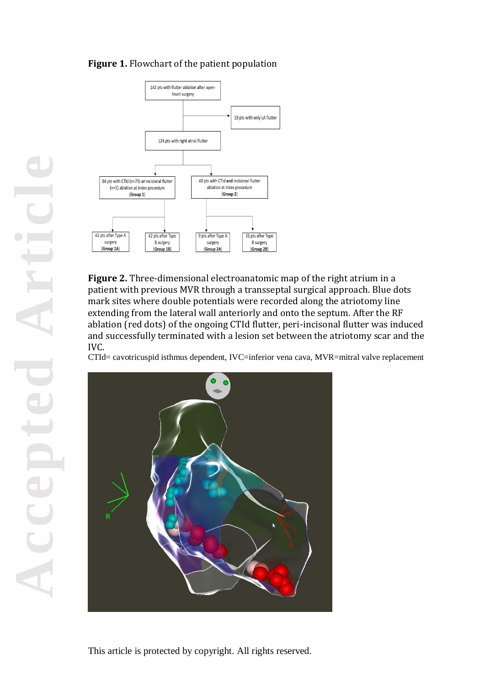## **Figure 1.** Flowchart of the patient population



**Figure 2.** Three-dimensional electroanatomic map of the right atrium in a patient with previous MVR through a transseptal surgical approach. Blue dots mark sites where double potentials were recorded along the atriotomy line extending from the lateral wall anteriorly and onto the septum. After the RF ablation (red dots) of the ongoing CTId flutter, peri-incisonal flutter was induced and successfully terminated with a lesion set between the atriotomy scar and the IVC.

CTId= cavotricuspid isthmus dependent, IVC=inferior vena cava, MVR=mitral valve replacement

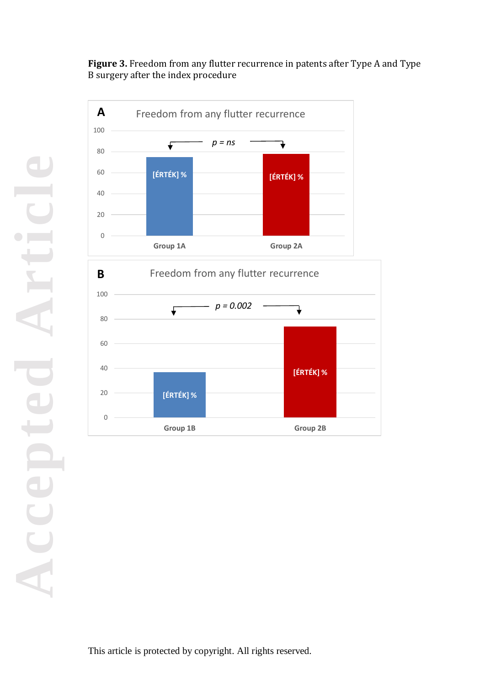**Figure 3.** Freedom from any flutter recurrence in patents after Type A and Type B surgery after the index procedure